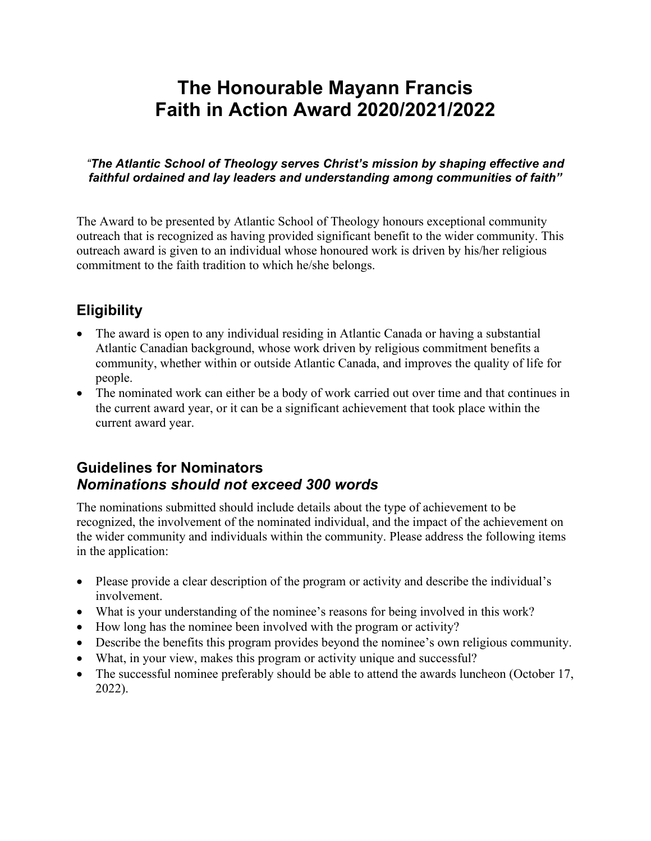# **The Honourable Mayann Francis Faith in Action Award 2020/2021/2022**

#### *"The Atlantic School of Theology serves Christ's mission by shaping effective and faithful ordained and lay leaders and understanding among communities of faith"*

The Award to be presented by Atlantic School of Theology honours exceptional community outreach that is recognized as having provided significant benefit to the wider community. This outreach award is given to an individual whose honoured work is driven by his/her religious commitment to the faith tradition to which he/she belongs.

## **Eligibility**

- The award is open to any individual residing in Atlantic Canada or having a substantial Atlantic Canadian background, whose work driven by religious commitment benefits a community, whether within or outside Atlantic Canada, and improves the quality of life for people.
- The nominated work can either be a body of work carried out over time and that continues in the current award year, or it can be a significant achievement that took place within the current award year.

### **Guidelines for Nominators** *Nominations should not exceed 300 words*

The nominations submitted should include details about the type of achievement to be recognized, the involvement of the nominated individual, and the impact of the achievement on the wider community and individuals within the community. Please address the following items in the application:

- Please provide a clear description of the program or activity and describe the individual's involvement.
- What is your understanding of the nominee's reasons for being involved in this work?
- How long has the nominee been involved with the program or activity?
- Describe the benefits this program provides beyond the nominee's own religious community.
- What, in your view, makes this program or activity unique and successful?
- The successful nominee preferably should be able to attend the awards luncheon (October 17, 2022).